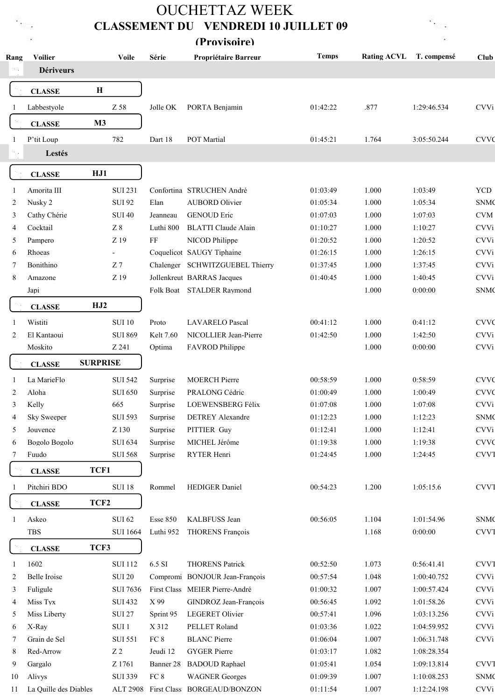## **OUCHETTAZ WEEK CLASSEMENT DU VENDREDI 10 JUILLET 09** (Provisoire)

| c. |               |  |
|----|---------------|--|
|    |               |  |
|    | 30 F          |  |
|    | 5             |  |
|    | <b>The Co</b> |  |

| Rang | <b>Voilier</b><br><b>Dériveurs</b> |                  | <b>Voile</b>             | Série     | Propriétaire Barreur                 | <b>Temps</b> | <b>Rating ACVL</b> | T. compensé | <b>Club</b>            |
|------|------------------------------------|------------------|--------------------------|-----------|--------------------------------------|--------------|--------------------|-------------|------------------------|
|      | <b>CLASSE</b>                      | $\mathbf H$      |                          |           |                                      |              |                    |             |                        |
| 1    | Labbestyole                        |                  | Z 58                     | Jolle OK  | PORTA Benjamin                       | 01:42:22     | .877               | 1:29:46.534 | <b>CVVi</b>            |
|      | <b>CLASSE</b>                      | M <sub>3</sub>   |                          |           |                                      |              |                    |             |                        |
| 1    | P'tit Loup                         |                  | 782                      | Dart 18   | POT Martial                          | 01:45:21     | 1.764              | 3:05:50.244 | <b>CVVC</b>            |
|      | Lestés                             |                  |                          |           |                                      |              |                    |             |                        |
|      | <b>CLASSE</b>                      | HJ1              |                          |           |                                      |              |                    |             |                        |
| 1    | Amorita III                        |                  | <b>SUI 231</b>           |           | Confortina STRUCHEN André            | 01:03:49     | 1.000              | 1:03:49     | <b>YCD</b>             |
| 2    | Nusky 2                            |                  | <b>SUI 92</b>            | Elan      | <b>AUBORD Olivier</b>                | 01:05:34     | 1.000              | 1:05:34     | <b>SNMC</b>            |
| 3    | Cathy Chérie                       |                  | <b>SUI 40</b>            | Jeanneau  | <b>GENOUD Eric</b>                   | 01:07:03     | 1.000              | 1:07:03     | <b>CVM</b>             |
| 4    | Cocktail                           |                  | $\rm Z~8$                | Luthi 800 | <b>BLATTI Claude Alain</b>           | 01:10:27     | 1.000              | 1:10:27     | <b>CVVi</b>            |
| 5    | Pampero                            |                  | Z 19                     | $\rm FF$  | NICOD Philippe                       | 01:20:52     | 1.000              | 1:20:52     | <b>CVVi</b>            |
| 6    | Rhoeas                             |                  | $\overline{\phantom{a}}$ |           | Coquelicot SAUGY Tiphaine            | 01:26:15     | 1.000              | 1:26:15     | <b>CVVi</b>            |
| 7    | Bonithino                          |                  | Z <sub>7</sub>           |           | Chalenger SCHWITZGUEBEL Thierry      | 01:37:45     | 1.000              | 1:37:45     | <b>CVVi</b>            |
| 8    | Amazone                            |                  | Z 19                     |           | Jollenkreut BARRAS Jacques           | 01:40:45     | 1.000              | 1:40:45     | <b>CVVi</b>            |
|      | Japi                               |                  |                          |           | Folk Boat STALDER Raymond            |              | 1.000              | 0:00:00     | <b>SNMC</b>            |
|      | <b>CLASSE</b>                      | HJ2              |                          |           |                                      |              |                    |             |                        |
| -1   | Wistiti                            |                  | <b>SUI 10</b>            | Proto     | <b>LAVARELO Pascal</b>               | 00:41:12     | 1.000              | 0:41:12     | <b>CVVC</b>            |
| 2    | El Kantaoui                        |                  | <b>SUI 869</b>           | Kelt 7.60 | NICOLLIER Jean-Pierre                | 01:42:50     | 1.000              | 1:42:50     | <b>CVVi</b>            |
|      | Moskito                            |                  | Z 241                    | Optima    | FAVROD Philippe                      |              | 1.000              | 0:00:00     | <b>CVVi</b>            |
|      |                                    | <b>SURPRISE</b>  |                          |           |                                      |              |                    |             |                        |
|      | <b>CLASSE</b>                      |                  |                          |           |                                      |              |                    |             |                        |
| 1    | La MarieFlo                        |                  | <b>SUI 542</b>           | Surprise  | <b>MOERCH Pierre</b>                 | 00:58:59     | 1.000              | 0:58:59     | <b>CVVC</b>            |
| 2    | Aloha                              |                  | <b>SUI 650</b>           | Surprise  | PRALONG Cédric                       | 01:00:49     | 1.000              | 1:00:49     | <b>CVVC</b>            |
| 3    | Kelly                              |                  | 665                      | Surprise  | LOEWENSBERG Félix                    | 01:07:08     | 1.000              | 1:07:08     | <b>CVVi</b>            |
| 4    | Sky Sweeper                        |                  | <b>SUI 593</b>           | Surprise  | <b>DETREY Alexandre</b>              | 01:12:23     | 1.000              | 1:12:23     | <b>SNMC</b>            |
| 5    | Jouvence                           |                  | Z 130                    | Surprise  | PITTIER Guy                          | 01:12:41     | 1.000              | 1:12:41     | <b>CVVi</b>            |
| 6    | Bogolo Bogolo                      |                  | <b>SUI 634</b>           | Surprise  | MICHEL Jérôme                        | 01:19:38     | 1.000              | 1:19:38     | <b>CVVC</b>            |
| 7    | Fuudo                              |                  | <b>SUI 568</b>           | Surprise  | RYTER Henri                          | 01:24:45     | 1.000              | 1:24:45     | <b>CVV<sub>I</sub></b> |
|      | <b>CLASSE</b>                      | TCF1             |                          |           |                                      |              |                    |             |                        |
|      | Pitchiri BDO                       |                  | <b>SUI 18</b>            | Rommel    | HEDIGER Daniel                       | 00:54:23     | 1.200              | 1:05:15.6   | <b>CVV<sub>I</sub></b> |
|      | <b>CLASSE</b>                      | TCF <sub>2</sub> |                          |           |                                      |              |                    |             |                        |
|      | Askeo                              |                  | <b>SUI 62</b>            | Esse 850  | KALBFUSS Jean                        | 00:56:05     | 1.104              | 1:01:54.96  | <b>SNMC</b>            |
|      | TBS                                |                  | <b>SUI 1664</b>          | Luthi 952 | <b>THORENS François</b>              |              | 1.168              | 0:00:00     | <b>CVV<sub>I</sub></b> |
|      | <b>CLASSE</b>                      | TCF3             |                          |           |                                      |              |                    |             |                        |
| -1   | 1602                               |                  | <b>SUI 112</b>           | 6.5 SI    | <b>THORENS Patrick</b>               | 00:52:50     | 1.073              | 0:56:41.41  | <b>CVV<sub>I</sub></b> |
| 2    | Belle Iroise                       |                  | <b>SUI 20</b>            |           | Compromi BONJOUR Jean-François       | 00:57:54     | 1.048              | 1:00:40.752 | <b>CVVi</b>            |
| 3    | Fuligule                           |                  | <b>SUI 7636</b>          |           | First Class MEIER Pierre-André       | 01:00:32     | 1.007              | 1:00:57.424 | <b>CVVi</b>            |
| 4    | Miss Tyx                           |                  | <b>SUI 432</b>           | X 99      | GINDROZ Jean-François                | 00:56:45     | 1.092              | 1:01:58.26  | <b>CVVi</b>            |
| 5    | Miss Liberty                       |                  | <b>SUI 27</b>            | Sprint 95 | <b>LEGERET Olivier</b>               | 00:57:41     | 1.096              | 1:03:13.256 | <b>CVVi</b>            |
| 6    | X-Ray                              |                  | SUI <sub>1</sub>         | X 312     | PELLET Roland                        | 01:03:36     | 1.022              | 1:04:59.952 | <b>CVVi</b>            |
| 7    | Grain de Sel                       |                  | <b>SUI 551</b>           | $FC 8$    | <b>BLANC</b> Pierre                  | 01:06:04     | 1.007              | 1:06:31.748 | <b>CVVi</b>            |
| 8    | Red-Arrow                          |                  | $\rm Z$ 2                | Jeudi 12  | <b>GYGER Pierre</b>                  | 01:03:17     | 1.082              | 1:08:28.354 |                        |
| 9    | Gargalo                            |                  | Z 1761                   | Banner 28 | <b>BADOUD Raphael</b>                | 01:05:41     | 1.054              | 1:09:13.814 | <b>CVV<sub>I</sub></b> |
| 10   | Alivys                             |                  | <b>SUI 339</b>           | $FC 8$    | <b>WAGNER</b> Georges                | 01:09:39     | 1.007              | 1:10:08.253 | <b>SNMC</b>            |
| 11   | La Quille des Diables              |                  |                          |           | ALT 2908 First Class BORGEAUD/BONZON | 01:11:54     | 1.007              | 1:12:24.198 | <b>CVVi</b>            |